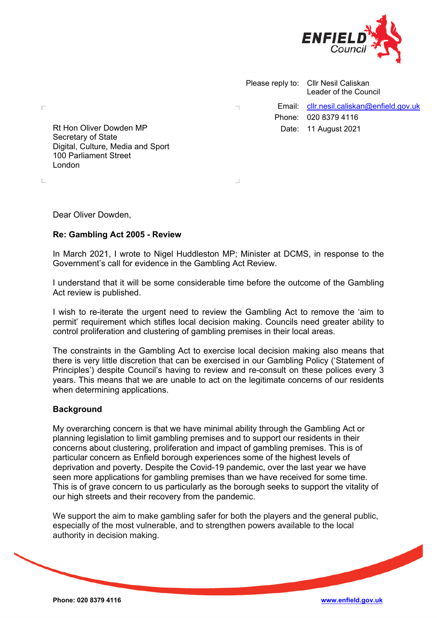

Please reply to: Cllr Nesil Caliskan Leader of the Council Email: [cllr.nesil.caliskan@enfield.gov.uk](mailto:cllr.nesil.caliskan@enfield.gov.uk) Phone: 020 8379 4116 Date: 11 August 2021

Rt Hon Oliver Dowden MP Secretary of State Digital, Culture, Media and Sport 100 Parliament Street London

Dear Oliver Dowden,

 $\Box$ 

 $\mathbb{L}$ 

# **Re: Gambling Act 2005 - Review**

In March 2021, I wrote to Nigel Huddleston MP; Minister at DCMS, in response to the Government's call for evidence in the Gambling Act Review.

I understand that it will be some considerable time before the outcome of the Gambling Act review is published.

I wish to re-iterate the urgent need to review the Gambling Act to remove the 'aim to permit' requirement which stifles local decision making. Councils need greater ability to control proliferation and clustering of gambling premises in their local areas.

The constraints in the Gambling Act to exercise local decision making also means that there is very little discretion that can be exercised in our Gambling Policy ('Statement of Principles') despite Council's having to review and re-consult on these polices every 3 years. This means that we are unable to act on the legitimate concerns of our residents when determining applications.

## **Background**

My overarching concern is that we have minimal ability through the Gambling Act or planning legislation to limit gambling premises and to support our residents in their concerns about clustering, proliferation and impact of gambling premises. This is of particular concern as Enfield borough experiences some of the highest levels of deprivation and poverty. Despite the Covid-19 pandemic, over the last year we have seen more applications for gambling premises than we have received for some time. This is of grave concern to us particularly as the borough seeks to support the vitality of our high streets and their recovery from the pandemic.

We support the aim to make gambling safer for both the players and the general public, especially of the most vulnerable, and to strengthen powers available to the local authority in decision making.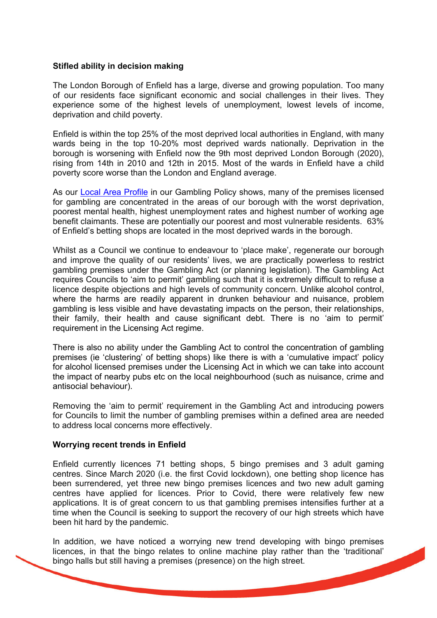#### **Stifled ability in decision making**

The London Borough of Enfield has a large, diverse and growing population. Too many of our residents face significant economic and social challenges in their lives. They experience some of the highest levels of unemployment, lowest levels of income, deprivation and child poverty.

Enfield is within the top 25% of the most deprived local authorities in England, with many wards being in the top 10-20% most deprived wards nationally. Deprivation in the borough is worsening with Enfield now the 9th most deprived London Borough (2020), rising from 14th in 2010 and 12th in 2015. Most of the wards in Enfield have a child poverty score worse than the London and England average.

As our [Local Area Profile](https://pdf.browsealoud.com/PDFViewer/_Desktop/viewer.aspx?file=https://pdf.browsealoud.com/StreamingProxy.ashx?url=https://new.enfield.gov.uk/services/business-and-licensing/local-area-profile-support-to-statement-of-licensing-principles-gambling-business-and-licensing.pdf&opts=new.enfield.gov.uk#langidsrc=en-gb&locale=en-gb&dom=new.enfield.gov.uk) in our Gambling Policy shows, many of the premises licensed for gambling are concentrated in the areas of our borough with the worst deprivation, poorest mental health, highest unemployment rates and highest number of working age benefit claimants. These are potentially our poorest and most vulnerable residents. 63% of Enfield's betting shops are located in the most deprived wards in the borough.

Whilst as a Council we continue to endeavour to 'place make', regenerate our borough and improve the quality of our residents' lives, we are practically powerless to restrict gambling premises under the Gambling Act (or planning legislation). The Gambling Act requires Councils to 'aim to permit' gambling such that it is extremely difficult to refuse a licence despite objections and high levels of community concern. Unlike alcohol control, where the harms are readily apparent in drunken behaviour and nuisance, problem gambling is less visible and have devastating impacts on the person, their relationships, their family, their health and cause significant debt. There is no 'aim to permit' requirement in the Licensing Act regime.

There is also no ability under the Gambling Act to control the concentration of gambling premises (ie 'clustering' of betting shops) like there is with a 'cumulative impact' policy for alcohol licensed premises under the Licensing Act in which we can take into account the impact of nearby pubs etc on the local neighbourhood (such as nuisance, crime and antisocial behaviour).

Removing the 'aim to permit' requirement in the Gambling Act and introducing powers for Councils to limit the number of gambling premises within a defined area are needed to address local concerns more effectively.

## **Worrying recent trends in Enfield**

Enfield currently licences 71 betting shops, 5 bingo premises and 3 adult gaming centres. Since March 2020 (i.e. the first Covid lockdown), one betting shop licence has been surrendered, yet three new bingo premises licences and two new adult gaming centres have applied for licences. Prior to Covid, there were relatively few new applications. It is of great concern to us that gambling premises intensifies further at a time when the Council is seeking to support the recovery of our high streets which have been hit hard by the pandemic.

In addition, we have noticed a worrying new trend developing with bingo premises licences, in that the bingo relates to online machine play rather than the 'traditional' bingo halls but still having a premises (presence) on the high street.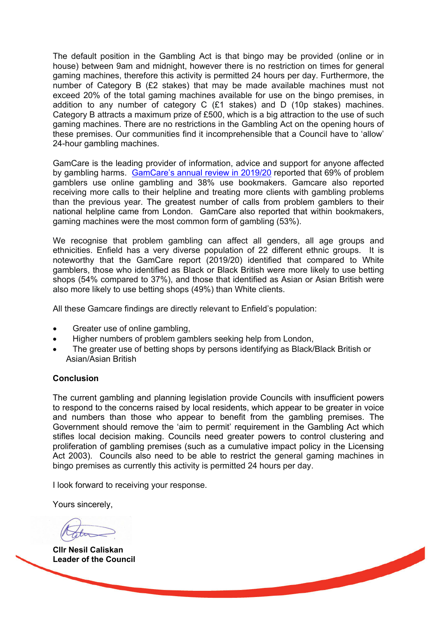The default position in the Gambling Act is that bingo may be provided (online or in house) between 9am and midnight, however there is no restriction on times for general gaming machines, therefore this activity is permitted 24 hours per day. Furthermore, the number of Category B (£2 stakes) that may be made available machines must not exceed 20% of the total gaming machines available for use on the bingo premises, in addition to any number of category C (£1 stakes) and D (10p stakes) machines. Category B attracts a maximum prize of £500, which is a big attraction to the use of such gaming machines. There are no restrictions in the Gambling Act on the opening hours of these premises. Our communities find it incomprehensible that a Council have to 'allow' 24-hour gambling machines.

GamCare is the leading provider of information, advice and support for anyone affected by gambling harms. GamCare's [annual review in 2019/20](https://www.begambleaware.org/media/2289/annual-stats-2019-20.pdf) reported that 69% of problem gamblers use online gambling and 38% use bookmakers. Gamcare also reported receiving more calls to their helpline and treating more clients with gambling problems than the previous year. The greatest number of calls from problem gamblers to their national helpline came from London. GamCare also reported that within bookmakers, gaming machines were the most common form of gambling (53%).

We recognise that problem gambling can affect all genders, all age groups and ethnicities. Enfield has a very diverse population of 22 different ethnic groups. It is noteworthy that the GamCare report (2019/20) identified that compared to White gamblers, those who identified as Black or Black British were more likely to use betting shops (54% compared to 37%), and those that identified as Asian or Asian British were also more likely to use betting shops (49%) than White clients.

All these Gamcare findings are directly relevant to Enfield's population:

- Greater use of online gambling,
- Higher numbers of problem gamblers seeking help from London,
- The greater use of betting shops by persons identifying as Black/Black British or Asian/Asian British

# **Conclusion**

The current gambling and planning legislation provide Councils with insufficient powers to respond to the concerns raised by local residents, which appear to be greater in voice and numbers than those who appear to benefit from the gambling premises. The Government should remove the 'aim to permit' requirement in the Gambling Act which stifles local decision making. Councils need greater powers to control clustering and proliferation of gambling premises (such as a cumulative impact policy in the Licensing Act 2003). Councils also need to be able to restrict the general gaming machines in bingo premises as currently this activity is permitted 24 hours per day.

I look forward to receiving your response.

Yours sincerely,

**Cllr Nesil Caliskan Leader of the Council**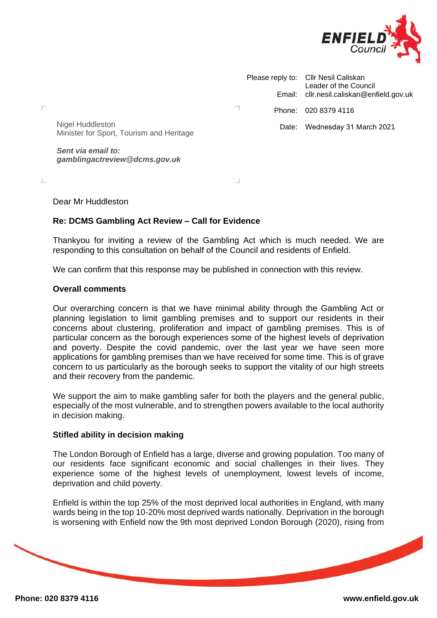

|  | Please reply to: Cllr Nesil Caliskan<br>Leader of the Council<br>Email: cllr.nesil.caliskan@enfield.gov.uk |
|--|------------------------------------------------------------------------------------------------------------|
|  | Phone: 020 8379 4116                                                                                       |
|  | Date: Wednesday 31 March 2021                                                                              |

Nigel Huddleston Minister for Sport, Tourism and Heritage

*Sent via email to: gamblingactreview@dcms.gov.uk*

Dear Mr Huddleston

Н

ï.

# **Re: DCMS Gambling Act Review – Call for Evidence**

Thankyou for inviting a review of the Gambling Act which is much needed. We are responding to this consultation on behalf of the Council and residents of Enfield.

We can confirm that this response may be published in connection with this review.

#### **Overall comments**

Our overarching concern is that we have minimal ability through the Gambling Act or planning legislation to limit gambling premises and to support our residents in their concerns about clustering, proliferation and impact of gambling premises. This is of particular concern as the borough experiences some of the highest levels of deprivation and poverty. Despite the covid pandemic, over the last year we have seen more applications for gambling premises than we have received for some time. This is of grave concern to us particularly as the borough seeks to support the vitality of our high streets and their recovery from the pandemic.

We support the aim to make gambling safer for both the players and the general public, especially of the most vulnerable, and to strengthen powers available to the local authority in decision making.

## **Stifled ability in decision making**

The London Borough of Enfield has a large, diverse and growing population. Too many of our residents face significant economic and social challenges in their lives. They experience some of the highest levels of unemployment, lowest levels of income, deprivation and child poverty.

Enfield is within the top 25% of the most deprived local authorities in England, with many wards being in the top 10-20% most deprived wards nationally. Deprivation in the borough is worsening with Enfield now the 9th most deprived London Borough (2020), rising from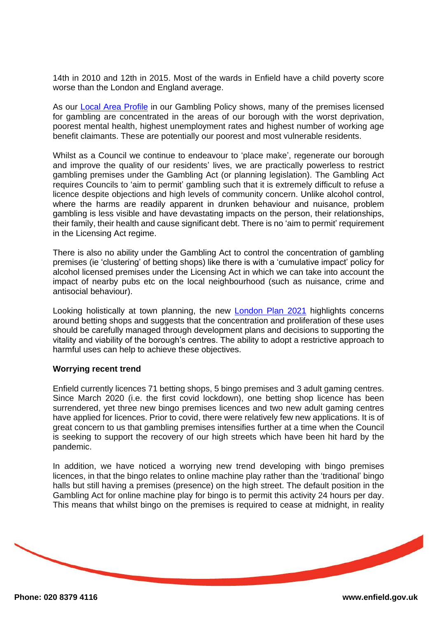14th in 2010 and 12th in 2015. Most of the wards in Enfield have a child poverty score worse than the London and England average.

As our [Local Area Profile](https://pdf.browsealoud.com/PDFViewer/_Desktop/viewer.aspx?file=https://pdf.browsealoud.com/StreamingProxy.ashx?url=https://new.enfield.gov.uk/services/business-and-licensing/local-area-profile-support-to-statement-of-licensing-principles-gambling-business-and-licensing.pdf&opts=new.enfield.gov.uk#langidsrc=en-gb&locale=en-gb&dom=new.enfield.gov.uk) in our Gambling Policy shows, many of the premises licensed for gambling are concentrated in the areas of our borough with the worst deprivation, poorest mental health, highest unemployment rates and highest number of working age benefit claimants. These are potentially our poorest and most vulnerable residents.

Whilst as a Council we continue to endeavour to 'place make', regenerate our borough and improve the quality of our residents' lives, we are practically powerless to restrict gambling premises under the Gambling Act (or planning legislation). The Gambling Act requires Councils to 'aim to permit' gambling such that it is extremely difficult to refuse a licence despite objections and high levels of community concern. Unlike alcohol control, where the harms are readily apparent in drunken behaviour and nuisance, problem gambling is less visible and have devastating impacts on the person, their relationships, their family, their health and cause significant debt. There is no 'aim to permit' requirement in the Licensing Act regime.

There is also no ability under the Gambling Act to control the concentration of gambling premises (ie 'clustering' of betting shops) like there is with a 'cumulative impact' policy for alcohol licensed premises under the Licensing Act in which we can take into account the impact of nearby pubs etc on the local neighbourhood (such as nuisance, crime and antisocial behaviour).

Looking holistically at town planning, the new [London Plan](https://www.london.gov.uk/sites/default/files/the_london_plan_2021.pdf) 2021 highlights concerns around betting shops and suggests that the concentration and proliferation of these uses should be carefully managed through development plans and decisions to supporting the vitality and viability of the borough's centres. The ability to adopt a restrictive approach to harmful uses can help to achieve these objectives.

#### **Worrying recent trend**

Enfield currently licences 71 betting shops, 5 bingo premises and 3 adult gaming centres. Since March 2020 (i.e. the first covid lockdown), one betting shop licence has been surrendered, yet three new bingo premises licences and two new adult gaming centres have applied for licences. Prior to covid, there were relatively few new applications. It is of great concern to us that gambling premises intensifies further at a time when the Council is seeking to support the recovery of our high streets which have been hit hard by the pandemic.

In addition, we have noticed a worrying new trend developing with bingo premises licences, in that the bingo relates to online machine play rather than the 'traditional' bingo halls but still having a premises (presence) on the high street. The default position in the Gambling Act for online machine play for bingo is to permit this activity 24 hours per day. This means that whilst bingo on the premises is required to cease at midnight, in reality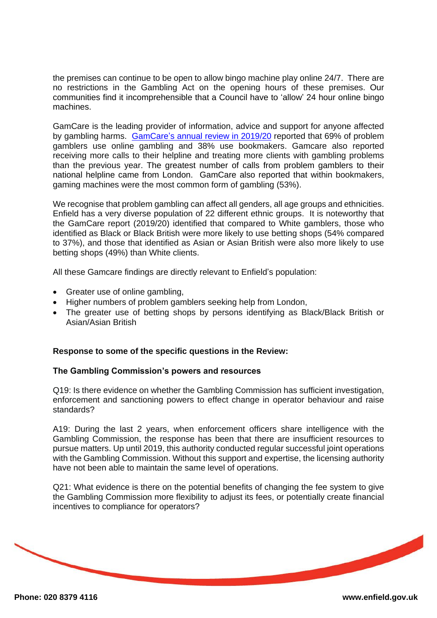the premises can continue to be open to allow bingo machine play online 24/7. There are no restrictions in the Gambling Act on the opening hours of these premises. Our communities find it incomprehensible that a Council have to 'allow' 24 hour online bingo machines.

GamCare is the leading provider of information, advice and support for anyone affected by gambling harms. GamCare's [annual review in 2019/20](https://www.begambleaware.org/media/2289/annual-stats-2019-20.pdf) reported that 69% of problem gamblers use online gambling and 38% use bookmakers. Gamcare also reported receiving more calls to their helpline and treating more clients with gambling problems than the previous year. The greatest number of calls from problem gamblers to their national helpline came from London. GamCare also reported that within bookmakers, gaming machines were the most common form of gambling (53%).

We recognise that problem gambling can affect all genders, all age groups and ethnicities. Enfield has a very diverse population of 22 different ethnic groups. It is noteworthy that the GamCare report (2019/20) identified that compared to White gamblers, those who identified as Black or Black British were more likely to use betting shops (54% compared to 37%), and those that identified as Asian or Asian British were also more likely to use betting shops (49%) than White clients.

All these Gamcare findings are directly relevant to Enfield's population:

- Greater use of online gambling,
- Higher numbers of problem gamblers seeking help from London,
- The greater use of betting shops by persons identifying as Black/Black British or Asian/Asian British

## **Response to some of the specific questions in the Review:**

#### **The Gambling Commission's powers and resources**

Q19: Is there evidence on whether the Gambling Commission has sufficient investigation, enforcement and sanctioning powers to effect change in operator behaviour and raise standards?

A19: During the last 2 years, when enforcement officers share intelligence with the Gambling Commission, the response has been that there are insufficient resources to pursue matters. Up until 2019, this authority conducted regular successful joint operations with the Gambling Commission. Without this support and expertise, the licensing authority have not been able to maintain the same level of operations.

Q21: What evidence is there on the potential benefits of changing the fee system to give the Gambling Commission more flexibility to adjust its fees, or potentially create financial incentives to compliance for operators?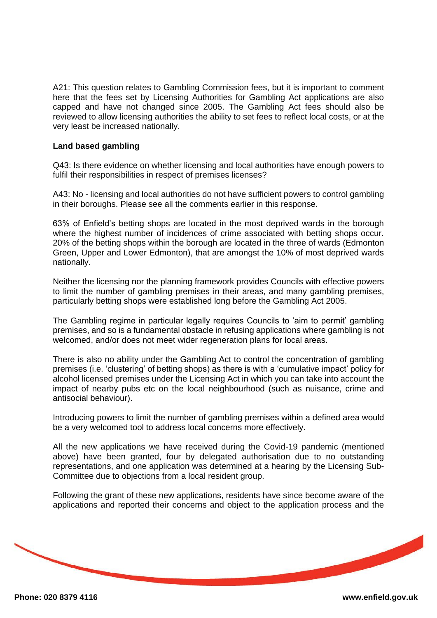A21: This question relates to Gambling Commission fees, but it is important to comment here that the fees set by Licensing Authorities for Gambling Act applications are also capped and have not changed since 2005. The Gambling Act fees should also be reviewed to allow licensing authorities the ability to set fees to reflect local costs, or at the very least be increased nationally.

#### **Land based gambling**

Q43: Is there evidence on whether licensing and local authorities have enough powers to fulfil their responsibilities in respect of premises licenses?

A43: No - licensing and local authorities do not have sufficient powers to control gambling in their boroughs. Please see all the comments earlier in this response.

63% of Enfield's betting shops are located in the most deprived wards in the borough where the highest number of incidences of crime associated with betting shops occur. 20% of the betting shops within the borough are located in the three of wards (Edmonton Green, Upper and Lower Edmonton), that are amongst the 10% of most deprived wards nationally.

Neither the licensing nor the planning framework provides Councils with effective powers to limit the number of gambling premises in their areas, and many gambling premises, particularly betting shops were established long before the Gambling Act 2005.

The Gambling regime in particular legally requires Councils to 'aim to permit' gambling premises, and so is a fundamental obstacle in refusing applications where gambling is not welcomed, and/or does not meet wider regeneration plans for local areas.

There is also no ability under the Gambling Act to control the concentration of gambling premises (i.e. 'clustering' of betting shops) as there is with a 'cumulative impact' policy for alcohol licensed premises under the Licensing Act in which you can take into account the impact of nearby pubs etc on the local neighbourhood (such as nuisance, crime and antisocial behaviour).

Introducing powers to limit the number of gambling premises within a defined area would be a very welcomed tool to address local concerns more effectively.

All the new applications we have received during the Covid-19 pandemic (mentioned above) have been granted, four by delegated authorisation due to no outstanding representations, and one application was determined at a hearing by the Licensing Sub-Committee due to objections from a local resident group.

Following the grant of these new applications, residents have since become aware of the applications and reported their concerns and object to the application process and the